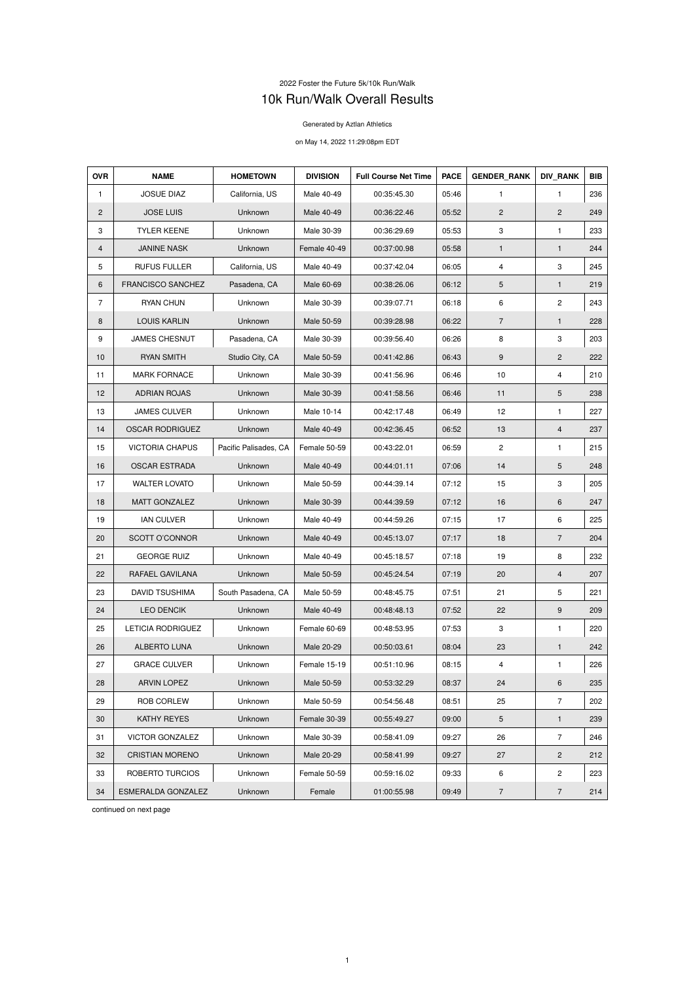## 2022 Foster the Future 5k/10k Run/Walk 10k Run/Walk Overall Results

## Generated by Aztlan Athletics

## on May 14, 2022 11:29:08pm EDT

| <b>OVR</b>     | <b>NAME</b>              | <b>HOMETOWN</b>       | <b>DIVISION</b> | <b>Full Course Net Time</b> | <b>PACE</b> | <b>GENDER RANK</b> | <b>DIV RANK</b> | <b>BIB</b> |
|----------------|--------------------------|-----------------------|-----------------|-----------------------------|-------------|--------------------|-----------------|------------|
| $\mathbf{1}$   | <b>JOSUE DIAZ</b>        | California, US        | Male 40-49      | 00:35:45.30                 | 05:46       | $\mathbf{1}$       | $\mathbf{1}$    | 236        |
| $\mathbf{2}$   | <b>JOSE LUIS</b>         | Unknown               | Male 40-49      | 00:36:22.46                 | 05:52       | $\overline{2}$     | $\overline{2}$  | 249        |
| 3              | <b>TYLER KEENE</b>       | Unknown               | Male 30-39      | 00:36:29.69                 | 05:53       | 3                  | 1               | 233        |
| 4              | <b>JANINE NASK</b>       | Unknown               | Female 40-49    | 00:37:00.98                 | 05:58       | $\mathbf{1}$       | $\mathbf{1}$    | 244        |
| 5              | <b>RUFUS FULLER</b>      | California, US        | Male 40-49      | 00:37:42.04                 | 06:05       | 4                  | 3               | 245        |
| 6              | <b>FRANCISCO SANCHEZ</b> | Pasadena, CA          | Male 60-69      | 00:38:26.06                 | 06:12       | $\sqrt{5}$         | $\mathbf{1}$    | 219        |
| $\overline{7}$ | <b>RYAN CHUN</b>         | Unknown               | Male 30-39      | 00:39:07.71                 | 06:18       | 6                  | $\overline{c}$  | 243        |
| 8              | <b>LOUIS KARLIN</b>      | Unknown               | Male 50-59      | 00:39:28.98                 | 06:22       | $\overline{7}$     | 1               | 228        |
| 9              | <b>JAMES CHESNUT</b>     | Pasadena, CA          | Male 30-39      | 00:39:56.40                 | 06:26       | 8                  | 3               | 203        |
| 10             | <b>RYAN SMITH</b>        | Studio City, CA       | Male 50-59      | 00:41:42.86                 | 06:43       | $\boldsymbol{9}$   | $\overline{2}$  | 222        |
| 11             | <b>MARK FORNACE</b>      | Unknown               | Male 30-39      | 00:41:56.96                 | 06:46       | 10                 | 4               | 210        |
| 12             | <b>ADRIAN ROJAS</b>      | Unknown               | Male 30-39      | 00:41:58.56                 | 06:46       | 11                 | 5               | 238        |
| 13             | <b>JAMES CULVER</b>      | Unknown               | Male 10-14      | 00:42:17.48                 | 06:49       | 12                 | $\mathbf{1}$    | 227        |
| 14             | <b>OSCAR RODRIGUEZ</b>   | Unknown               | Male 40-49      | 00:42:36.45                 | 06:52       | 13                 | 4               | 237        |
| 15             | <b>VICTORIA CHAPUS</b>   | Pacific Palisades, CA | Female 50-59    | 00:43:22.01                 | 06:59       | $\overline{c}$     | 1               | 215        |
| 16             | <b>OSCAR ESTRADA</b>     | Unknown               | Male 40-49      | 00:44:01.11                 | 07:06       | 14                 | 5               | 248        |
| 17             | <b>WALTER LOVATO</b>     | Unknown               | Male 50-59      | 00:44:39.14                 | 07:12       | 15                 | 3               | 205        |
| 18             | <b>MATT GONZALEZ</b>     | Unknown               | Male 30-39      | 00:44:39.59                 | 07:12       | 16                 | 6               | 247        |
| 19             | <b>IAN CULVER</b>        | Unknown               | Male 40-49      | 00:44:59.26                 | 07:15       | 17                 | 6               | 225        |
| 20             | SCOTT O'CONNOR           | Unknown               | Male 40-49      | 00:45:13.07                 | 07:17       | 18                 | $\overline{7}$  | 204        |
| 21             | <b>GEORGE RUIZ</b>       | Unknown               | Male 40-49      | 00:45:18.57                 | 07:18       | 19                 | 8               | 232        |
| 22             | RAFAEL GAVILANA          | Unknown               | Male 50-59      | 00:45:24.54                 | 07:19       | 20                 | 4               | 207        |
| 23             | <b>DAVID TSUSHIMA</b>    | South Pasadena, CA    | Male 50-59      | 00:48:45.75                 | 07:51       | 21                 | 5               | 221        |
| 24             | <b>LEO DENCIK</b>        | Unknown               | Male 40-49      | 00:48:48.13                 | 07:52       | 22                 | 9               | 209        |
| 25             | LETICIA RODRIGUEZ        | Unknown               | Female 60-69    | 00:48:53.95                 | 07:53       | 3                  | 1               | 220        |
| 26             | <b>ALBERTO LUNA</b>      | Unknown               | Male 20-29      | 00:50:03.61                 | 08:04       | 23                 | $\mathbf{1}$    | 242        |
| 27             | <b>GRACE CULVER</b>      | Unknown               | Female 15-19    | 00:51:10.96                 | 08:15       | 4                  | $\mathbf{1}$    | 226        |
| 28             | <b>ARVIN LOPEZ</b>       | Unknown               | Male 50-59      | 00:53:32.29                 | 08:37       | 24                 | 6               | 235        |
| 29             | ROB CORLEW               | Unknown               | Male 50-59      | 00:54:56.48                 | 08:51       | 25                 | 7               | 202        |
| 30             | <b>KATHY REYES</b>       | Unknown               | Female 30-39    | 00:55:49.27                 | 09:00       | $\sqrt{5}$         | $\mathbf{1}$    | 239        |
| 31             | <b>VICTOR GONZALEZ</b>   | Unknown               | Male 30-39      | 00:58:41.09                 | 09:27       | 26                 | $\overline{7}$  | 246        |
| 32             | <b>CRISTIAN MORENO</b>   | Unknown               | Male 20-29      | 00:58:41.99                 | 09:27       | 27                 | $\mathbf{2}$    | 212        |
| 33             | ROBERTO TURCIOS          | Unknown               | Female 50-59    | 00:59:16.02                 | 09:33       | 6                  | 2               | 223        |
| 34             | ESMERALDA GONZALEZ       | Unknown               | Female          | 01:00:55.98                 | 09:49       | $\overline{7}$     | $\overline{7}$  | 214        |

continued on next page